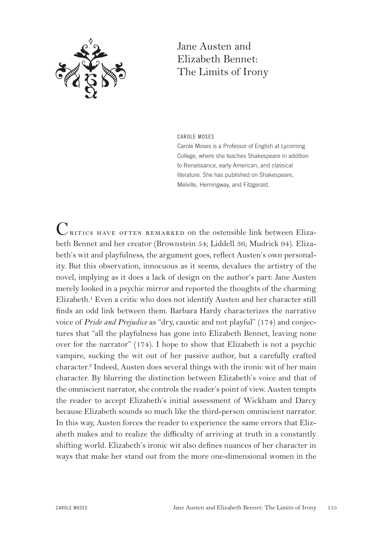

## Jane Austen and Elizabeth Bennet: The Limits of Irony

CAROLE MOSES

Carole Moses is a Professor of English at Lycoming College, where she teaches Shakespeare in addition to Renaissance, early American, and classical literature. She has published on Shakespeare, Melville, Hemingway, and Fitzgerald.

 $C_{\text{RITICS HAVE OFTEN REMARKED on the ostensible link between Eliza-}$ beth Bennet and her creator (Brownstein 54; Liddell 36; Mudrick 94). Elizabeth's wit and playfulness, the argument goes, reflect Austen's own personality. But this observation, innocuous as it seems, devalues the artistry of the novel, implying as it does a lack of design on the author's part: Jane Austen merely looked in a psychic mirror and reported the thoughts of the charming Elizabeth.<sup>1</sup> Even a critic who does not identify Austen and her character still finds an odd link between them. Barbara Hardy characterizes the narrative voice of *Pride and Prejudice* as "dry, caustic and not playful" (174) and conjectures that "all the playfulness has gone into Elizabeth Bennet, leaving none over for the narrator" (174). I hope to show that Elizabeth is not a psychic vampire, sucking the wit out of her passive author, but a carefully crafted character.2 Indeed, Austen does several things with the ironic wit of her main character. By blurring the distinction between Elizabeth's voice and that of the omniscient narrator, she controls the reader's point of view. Austen tempts the reader to accept Elizabeth's initial assessment of Wickham and Darcy because Elizabeth sounds so much like the third-person omniscient narrator. In this way, Austen forces the reader to experience the same errors that Elizabeth makes and to realize the difficulty of arriving at truth in a constantly shifting world. Elizabeth's ironic wit also defines nuances of her character in ways that make her stand out from the more one-dimensional women in the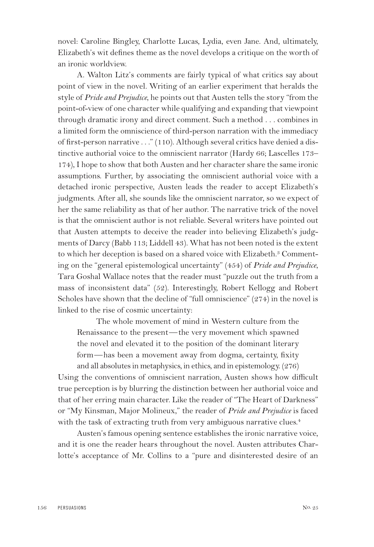novel: Caroline Bingley, Charlotte Lucas, Lydia, even Jane. And, ultimately, Elizabeth's wit defines theme as the novel develops a critique on the worth of an ironic worldview.

A. Walton Litz's comments are fairly typical of what critics say about point of view in the novel. Writing of an earlier experiment that heralds the style of *Pride and Prejudice*, he points out that Austen tells the story "from the point-of-view of one character while qualifying and expanding that viewpoint through dramatic irony and direct comment. Such a method . . . combines in a limited form the omniscience of third-person narration with the immediacy of first-person narrative . . ." (110). Although several critics have denied a distinctive authorial voice to the omniscient narrator (Hardy 66; Lascelles 173– 174), I hope to show that both Austen and her character share the same ironic assumptions. Further, by associating the omniscient authorial voice with a detached ironic perspective, Austen leads the reader to accept Elizabeth's judgments. After all, she sounds like the omniscient narrator, so we expect of her the same reliability as that of her author. The narrative trick of the novel is that the omniscient author is not reliable. Several writers have pointed out that Austen attempts to deceive the reader into believing Elizabeth's judgments of Darcy (Babb 113; Liddell 43). What has not been noted is the extent to which her deception is based on a shared voice with Elizabeth.<sup>3</sup> Commenting on the "general epistemological uncertainty" (454) of *Pride and Prejudice*, Tara Goshal Wallace notes that the reader must "puzzle out the truth from a mass of inconsistent data" (52). Interestingly, Robert Kellogg and Robert Scholes have shown that the decline of "full omniscience" (274) in the novel is linked to the rise of cosmic uncertainty:

The whole movement of mind in Western culture from the Renaissance to the present—the very movement which spawned the novel and elevated it to the position of the dominant literary form—has been a movement away from dogma, certainty, fixity and all absolutes in metaphysics, in ethics, and in epistemology. (276)

Using the conventions of omniscient narration, Austen shows how difficult true perception is by blurring the distinction between her authorial voice and that of her erring main character. Like the reader of "The Heart of Darkness" or "My Kinsman, Major Molineux," the reader of *Pride and Prejudice* is faced with the task of extracting truth from very ambiguous narrative clues.<sup>4</sup>

Austen's famous opening sentence establishes the ironic narrative voice, and it is one the reader hears throughout the novel. Austen attributes Charlotte's acceptance of Mr. Collins to a "pure and disinterested desire of an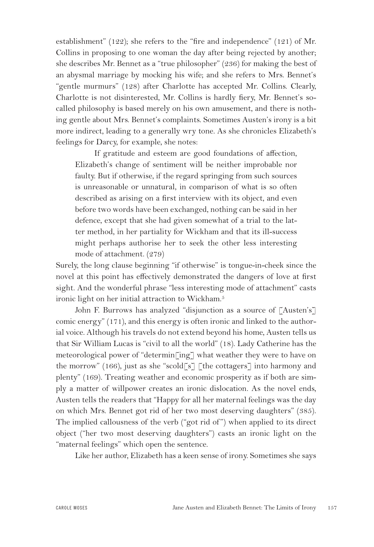establishment" (122); she refers to the "fire and independence" (121) of Mr. Collins in proposing to one woman the day after being rejected by another; she describes Mr. Bennet as a "true philosopher" (236) for making the best of an abysmal marriage by mocking his wife; and she refers to Mrs. Bennet's "gentle murmurs" (128) after Charlotte has accepted Mr. Collins. Clearly, Charlotte is not disinterested, Mr. Collins is hardly fiery, Mr. Bennet's socalled philosophy is based merely on his own amusement, and there is nothing gentle about Mrs. Bennet's complaints. Sometimes Austen's irony is a bit more indirect, leading to a generally wry tone. As she chronicles Elizabeth's feelings for Darcy, for example, she notes:

If gratitude and esteem are good foundations of affection, Elizabeth's change of sentiment will be neither improbable nor faulty. But if otherwise, if the regard springing from such sources is unreasonable or unnatural, in comparison of what is so often described as arising on a first interview with its object, and even before two words have been exchanged, nothing can be said in her defence, except that she had given somewhat of a trial to the latter method, in her partiality for Wickham and that its ill-success might perhaps authorise her to seek the other less interesting mode of attachment. (279)

Surely, the long clause beginning "if otherwise" is tongue-in-cheek since the novel at this point has effectively demonstrated the dangers of love at first sight. And the wonderful phrase "less interesting mode of attachment" casts ironic light on her initial attraction to Wickham.<sup>5</sup>

John F. Burrows has analyzed "disjunction as a source of [Austen's] comic energy" (171), and this energy is often ironic and linked to the authorial voice. Although his travels do not extend beyond his home, Austen tells us that Sir William Lucas is "civil to all the world" (18). Lady Catherine has the meteorological power of "determin[ing] what weather they were to have on the morrow" (166), just as she "scold[s] [the cottagers] into harmony and plenty" (169). Treating weather and economic prosperity as if both are simply a matter of willpower creates an ironic dislocation. As the novel ends, Austen tells the readers that "Happy for all her maternal feelings was the day on which Mrs. Bennet got rid of her two most deserving daughters" (385). The implied callousness of the verb ("got rid of") when applied to its direct object ("her two most deserving daughters") casts an ironic light on the "maternal feelings" which open the sentence.

Like her author, Elizabeth has a keen sense of irony. Sometimes she says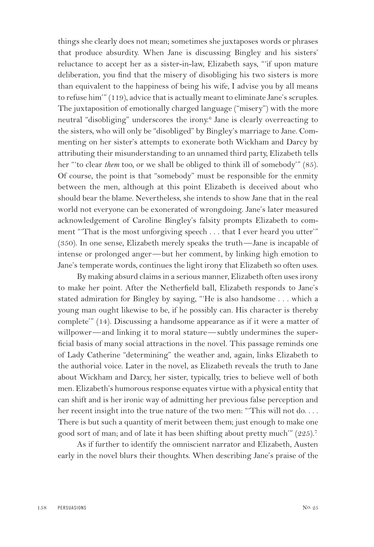things she clearly does not mean; sometimes she juxtaposes words or phrases that produce absurdity. When Jane is discussing Bingley and his sisters' reluctance to accept her as a sister-in-law, Elizabeth says, "'if upon mature deliberation, you find that the misery of disobliging his two sisters is more than equivalent to the happiness of being his wife, I advise you by all means to refuse him'" (119), advice that is actually meant to eliminate Jane's scruples. The juxtaposition of emotionally charged language ("misery") with the more neutral "disobliging" underscores the irony.<sup>6</sup> Jane is clearly overreacting to the sisters, who will only be "disobliged" by Bingley's marriage to Jane. Commenting on her sister's attempts to exonerate both Wickham and Darcy by attributing their misunderstanding to an unnamed third party, Elizabeth tells her "'to clear *them* too, or we shall be obliged to think ill of somebody'" (85). Of course, the point is that "somebody" must be responsible for the enmity between the men, although at this point Elizabeth is deceived about who should bear the blame. Nevertheless, she intends to show Jane that in the real world not everyone can be exonerated of wrongdoing. Jane's later measured acknowledgement of Caroline Bingley's falsity prompts Elizabeth to comment "That is the most unforgiving speech . . . that I ever heard you utter'" (350). In one sense, Elizabeth merely speaks the truth—Jane is incapable of intense or prolonged anger—but her comment, by linking high emotion to Jane's temperate words, continues the light irony that Elizabeth so often uses.

By making absurd claims in a serious manner, Elizabeth often uses irony to make her point. After the Netherfield ball, Elizabeth responds to Jane's stated admiration for Bingley by saying, "'He is also handsome . . . which a young man ought likewise to be, if he possibly can. His character is thereby complete'" (14). Discussing a handsome appearance as if it were a matter of willpower—and linking it to moral stature—subtly undermines the superficial basis of many social attractions in the novel. This passage reminds one of Lady Catherine "determining" the weather and, again, links Elizabeth to the authorial voice. Later in the novel, as Elizabeth reveals the truth to Jane about Wickham and Darcy, her sister, typically, tries to believe well of both men. Elizabeth's humorous response equates virtue with a physical entity that can shift and is her ironic way of admitting her previous false perception and her recent insight into the true nature of the two men: "This will not do.... There is but such a quantity of merit between them; just enough to make one good sort of man; and of late it has been shifting about pretty much'" (225).7

As if further to identify the omniscient narrator and Elizabeth, Austen early in the novel blurs their thoughts. When describing Jane's praise of the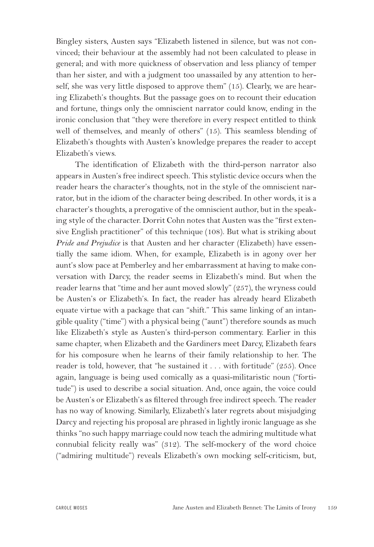Bingley sisters, Austen says "Elizabeth listened in silence, but was not convinced; their behaviour at the assembly had not been calculated to please in general; and with more quickness of observation and less pliancy of temper than her sister, and with a judgment too unassailed by any attention to herself, she was very little disposed to approve them" (15). Clearly, we are hearing Elizabeth's thoughts. But the passage goes on to recount their education and fortune, things only the omniscient narrator could know, ending in the ironic conclusion that "they were therefore in every respect entitled to think well of themselves, and meanly of others" (15). This seamless blending of Elizabeth's thoughts with Austen's knowledge prepares the reader to accept Elizabeth's views.

The identification of Elizabeth with the third-person narrator also appears in Austen's free indirect speech. This stylistic device occurs when the reader hears the character's thoughts, not in the style of the omniscient narrator, but in the idiom of the character being described. In other words, it is a character's thoughts, a prerogative of the omniscient author, but in the speaking style of the character. Dorrit Cohn notes that Austen was the "first extensive English practitioner" of this technique (108). But what is striking about *Pride and Prejudice* is that Austen and her character (Elizabeth) have essentially the same idiom. When, for example, Elizabeth is in agony over her aunt's slow pace at Pemberley and her embarrassment at having to make conversation with Darcy, the reader seems in Elizabeth's mind. But when the reader learns that "time and her aunt moved slowly" (257), the wryness could be Austen's or Elizabeth's. In fact, the reader has already heard Elizabeth equate virtue with a package that can "shift." This same linking of an intangible quality ("time") with a physical being ("aunt") therefore sounds as much like Elizabeth's style as Austen's third-person commentary. Earlier in this same chapter, when Elizabeth and the Gardiners meet Darcy, Elizabeth fears for his composure when he learns of their family relationship to her. The reader is told, however, that "he sustained it . . . with fortitude" (255). Once again, language is being used comically as a quasi-militaristic noun ("fortitude") is used to describe a social situation. And, once again, the voice could be Austen's or Elizabeth's as filtered through free indirect speech. The reader has no way of knowing. Similarly, Elizabeth's later regrets about misjudging Darcy and rejecting his proposal are phrased in lightly ironic language as she thinks "no such happy marriage could now teach the admiring multitude what connubial felicity really was" (312). The self-mockery of the word choice ("admiring multitude") reveals Elizabeth's own mocking self-criticism, but,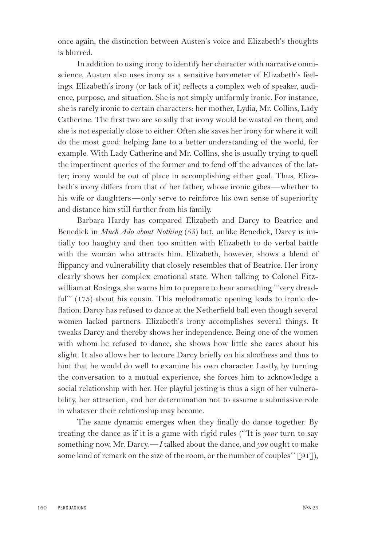once again, the distinction between Austen's voice and Elizabeth's thoughts is blurred.

In addition to using irony to identify her character with narrative omniscience, Austen also uses irony as a sensitive barometer of Elizabeth's feelings. Elizabeth's irony (or lack of it) reflects a complex web of speaker, audience, purpose, and situation. She is not simply uniformly ironic. For instance, she is rarely ironic to certain characters: her mother, Lydia, Mr. Collins, Lady Catherine. The first two are so silly that irony would be wasted on them, and she is not especially close to either. Often she saves her irony for where it will do the most good: helping Jane to a better understanding of the world, for example. With Lady Catherine and Mr. Collins, she is usually trying to quell the impertinent queries of the former and to fend off the advances of the latter; irony would be out of place in accomplishing either goal. Thus, Elizabeth's irony differs from that of her father, whose ironic gibes—whether to his wife or daughters—only serve to reinforce his own sense of superiority and distance him still further from his family.

Barbara Hardy has compared Elizabeth and Darcy to Beatrice and Benedick in *Much Ado about Nothing* (55) but, unlike Benedick, Darcy is initially too haughty and then too smitten with Elizabeth to do verbal battle with the woman who attracts him. Elizabeth, however, shows a blend of flippancy and vulnerability that closely resembles that of Beatrice. Her irony clearly shows her complex emotional state. When talking to Colonel Fitzwilliam at Rosings, she warns him to prepare to hear something "'very dreadful'" (175) about his cousin. This melodramatic opening leads to ironic deflation: Darcy has refused to dance at the Netherfield ball even though several women lacked partners. Elizabeth's irony accomplishes several things. It tweaks Darcy and thereby shows her independence. Being one of the women with whom he refused to dance, she shows how little she cares about his slight. It also allows her to lecture Darcy briefly on his aloofness and thus to hint that he would do well to examine his own character. Lastly, by turning the conversation to a mutual experience, she forces him to acknowledge a social relationship with her. Her playful jesting is thus a sign of her vulnerability, her attraction, and her determination not to assume a submissive role in whatever their relationship may become.

The same dynamic emerges when they finally do dance together. By treating the dance as if it is a game with rigid rules ("'It is *your* turn to say something now, Mr. Darcy.—*I* talked about the dance, and *you* ought to make some kind of remark on the size of the room, or the number of couples" [91]),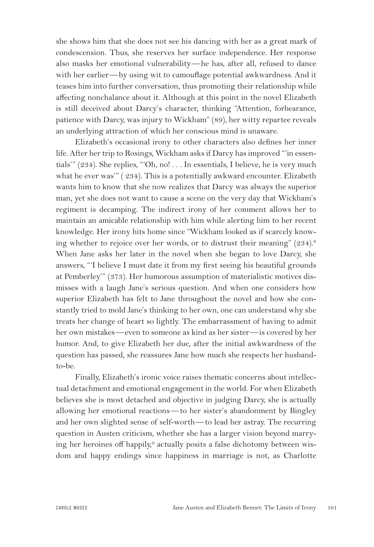she shows him that she does not see his dancing with her as a great mark of condescension. Thus, she reserves her surface independence. Her response also masks her emotional vulnerability—he has, after all, refused to dance with her earlier—by using wit to camouflage potential awkwardness. And it teases him into further conversation, thus promoting their relationship while affecting nonchalance about it. Although at this point in the novel Elizabeth is still deceived about Darcy's character, thinking "Attention, forbearance, patience with Darcy, was injury to Wickham" (89), her witty repartee reveals an underlying attraction of which her conscious mind is unaware.

Elizabeth's occasional irony to other characters also defines her inner life. After her trip to Rosings, Wickham asks if Darcy has improved "'in essentials'" (234). She replies, "'Oh, no! . . . In essentials, I believe, he is very much what he ever was" (234). This is a potentially awkward encounter. Elizabeth wants him to know that she now realizes that Darcy was always the superior man, yet she does not want to cause a scene on the very day that Wickham's regiment is decamping. The indirect irony of her comment allows her to maintain an amicable relationship with him while alerting him to her recent knowledge. Her irony hits home since "Wickham looked as if scarcely knowing whether to rejoice over her words, or to distrust their meaning" (234).8 When Jane asks her later in the novel when she began to love Darcy, she answers, "'I believe I must date it from my first seeing his beautiful grounds at Pemberley'" (373). Her humorous assumption of materialistic motives dismisses with a laugh Jane's serious question. And when one considers how superior Elizabeth has felt to Jane throughout the novel and how she constantly tried to mold Jane's thinking to her own, one can understand why she treats her change of heart so lightly. The embarrassment of having to admit her own mistakes—even to someone as kind as her sister—is covered by her humor. And, to give Elizabeth her due, after the initial awkwardness of the question has passed, she reassures Jane how much she respects her husbandto-be.

Finally, Elizabeth's ironic voice raises thematic concerns about intellectual detachment and emotional engagement in the world. For when Elizabeth believes she is most detached and objective in judging Darcy, she is actually allowing her emotional reactions—to her sister's abandonment by Bingley and her own slighted sense of self-worth—to lead her astray. The recurring question in Austen criticism, whether she has a larger vision beyond marrying her heroines off happily,<sup>9</sup> actually posits a false dichotomy between wisdom and happy endings since happiness in marriage is not, as Charlotte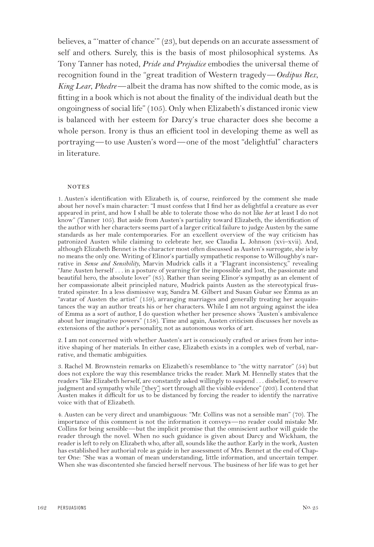believes, a "'matter of chance'" (23), but depends on an accurate assessment of self and others. Surely, this is the basis of most philosophical systems. As Tony Tanner has noted*, Pride and Prejudice* embodies the universal theme of recognition found in the "great tradition of Western tragedy—*Oedipus Rex*, *King Lear*, *Phedre*—albeit the drama has now shifted to the comic mode, as is fitting in a book which is not about the finality of the individual death but the ongoingness of social life" (105). Only when Elizabeth's distanced ironic view is balanced with her esteem for Darcy's true character does she become a whole person. Irony is thus an efficient tool in developing theme as well as portraying—to use Austen's word—one of the most "delightful" characters in literature.

## **NOTES**

1. Austen's identification with Elizabeth is, of course, reinforced by the comment she made about her novel's main character: "I must confess that I find her as delightful a creature as ever appeared in print, and how I shall be able to tolerate those who do not like *her* at least I do not know" (Tanner 105). But aside from Austen's partiality toward Elizabeth, the identification of the author with her characters seems part of a larger critical failure to judge Austen by the same standards as her male contemporaries. For an excellent overview of the way criticism has patronized Austen while claiming to celebrate her, see Claudia L. Johnson (xvi–xvii). And, although Elizabeth Bennet is the character most often discussed as Austen's surrogate, she is by no means the only one. Writing of Elinor's partially sympathetic response to Willoughby's narrative in *Sense and Sensibility*, Marvin Mudrick calls it a "Flagrant inconsistency," revealing "Jane Austen herself . . . in a posture of yearning for the impossible and lost, the passionate and beautiful hero, the absolute lover" (85). Rather than seeing Elinor's sympathy as an element of her compassionate albeit principled nature, Mudrick paints Austen as the stereotypical frustrated spinster. In a less dismissive way, Sandra M. Gilbert and Susan Gubar see Emma as an "avatar of Austen the artist" (159), arranging marriages and generally treating her acquaintances the way an author treats his or her characters. While I am not arguing against the idea of Emma as a sort of author, I do question whether her presence shows "Austen's ambivalence about her imaginative powers" (158). Time and again, Austen criticism discusses her novels as extensions of the author's personality, not as autonomous works of art.

2. I am not concerned with whether Austen's art is consciously crafted or arises from her intuitive shaping of her materials. In either case, Elizabeth exists in a complex web of verbal, narrative, and thematic ambiguities.

3. Rachel M. Brownstein remarks on Elizabeth's resemblance to "the witty narrator" (54) but does not explore the way this resemblance tricks the reader. Mark M. Hennelly states that the readers "like Elizabeth herself, are constantly asked willingly to suspend . . . disbelief, to reserve judgment and sympathy while  $\lceil \text{they} \rceil$  sort through all the visible evidence" (203). I contend that Austen makes it difficult for us to be distanced by forcing the reader to identify the narrative voice with that of Elizabeth.

4. Austen can be very direct and unambiguous: "Mr. Collins was not a sensible man" (70). The importance of this comment is not the information it conveys—no reader could mistake Mr. Collins for being sensible—but the implicit promise that the omniscient author will guide the reader through the novel. When no such guidance is given about Darcy and Wickham, the reader is left to rely on Elizabeth who, after all, sounds like the author. Early in the work, Austen has established her authorial role as guide in her assessment of Mrs. Bennet at the end of Chapter One: "She was a woman of mean understanding, little information, and uncertain temper. When she was discontented she fancied herself nervous. The business of her life was to get her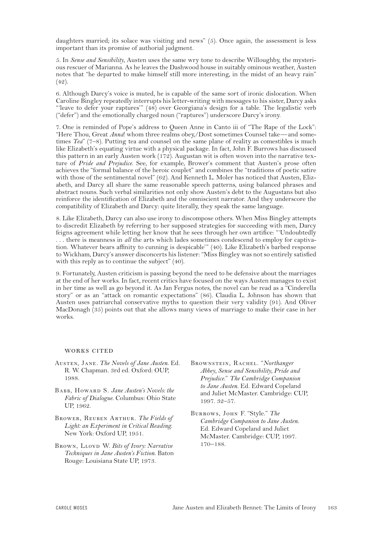daughters married; its solace was visiting and news" (5). Once again, the assessment is less important than its promise of authorial judgment.

5. In *Sense and Sensibility*, Austen uses the same wry tone to describe Willoughby, the mysterious rescuer of Marianna. As he leaves the Dashwood house in suitably ominous weather, Austen notes that "he departed to make himself still more interesting, in the midst of an heavy rain" (42).

6. Although Darcy's voice is muted, he is capable of the same sort of ironic dislocation. When Caroline Bingley repeatedly interrupts his letter-writing with messages to his sister, Darcy asks "'leave to defer your raptures'" (48) over Georgiana's design for a table. The legalistic verb ("defer") and the emotionally charged noun ("raptures") underscore Darcy's irony.

7. One is reminded of Pope's address to Queen Anne in Canto iii of "The Rape of the Lock": "Here Thou, Great *Anna*! whom three realms obey,/Dost sometimes Counsel take—and sometimes *Tea*" (7–8). Putting tea and counsel on the same plane of reality as comestibles is much like Elizabeth's equating virtue with a physical package. In fact, John F. Burrows has discussed this pattern in an early Austen work (172). Augustan wit is often woven into the narrative texture of *Pride and Prejudice*. See, for example, Brower's comment that Austen's prose often achieves the "formal balance of the heroic couplet" and combines the "traditions of poetic satire with those of the sentimental novel" (62). And Kenneth L. Moler has noticed that Austen, Elizabeth, and Darcy all share the same reasonable speech patterns, using balanced phrases and abstract nouns. Such verbal similarities not only show Austen's debt to the Augustans but also reinforce the identification of Elizabeth and the omniscient narrator. And they underscore the compatibility of Elizabeth and Darcy: quite literally, they speak the same language.

8. Like Elizabeth, Darcy can also use irony to discompose others. When Miss Bingley attempts to discredit Elizabeth by referring to her supposed strategies for succeeding with men, Darcy feigns agreement while letting her know that he sees through her own artifice: "'Undoubtedly . . . there is meanness in *all* the arts which lades sometimes condescend to employ for captivation. Whatever bears affinity to cunning is despicable'" (40). Like Elizabeth's barbed response to Wickham, Darcy's answer disconcerts his listener: "Miss Bingley was not so entirely satisfied with this reply as to continue the subject" (40).

9. Fortunately, Austen criticism is passing beyond the need to be defensive about the marriages at the end of her works. In fact, recent critics have focused on the ways Austen manages to exist in her time as well as go beyond it. As Jan Fergus notes, the novel can be read as a "Cinderella story" or as an "attack on romantic expectations" (86). Claudia L. Johnson has shown that Austen uses patriarchal conservative myths to question their very validity (91). And Oliver MacDonagh (35) points out that she allows many views of marriage to make their case in her works.

## WORKS CITED

- Austen, Jane*. The Novels of Jane Austen*. Ed. R. W. Chapman. 3rd ed. Oxford: OUP, 1988.
- BABB, HOWARD S. Jane Austen's Novels: the *Fabric of Dialogue*. Columbus: Ohio State UP, 1962.
- Brower, Reuben Arthur. *The Fields of Light: an Experiment in Critical Reading*. New York: Oxford UP, 1951.
- BROWN, LLOYD W. *Bits of Ivory: Narrative Techniques in Jane Austen's Fiction*. Baton Rouge: Louisiana State UP, 1973.
- Brownstein, Rachel. "*Northanger Abbey, Sense and Sensibility, Pride and Prejudice*." *The Cambridge Companion to Jane Austen*. Ed. Edward Copeland and Juliet McMaster. Cambridge: CUP, 1997. 32–57.
- Burrows, John F. "Style." *The Cambridge Companion to Jane Austen*. Ed. Edward Copeland and Juliet McMaster. Cambridge: CUP, 1997. 170–188.